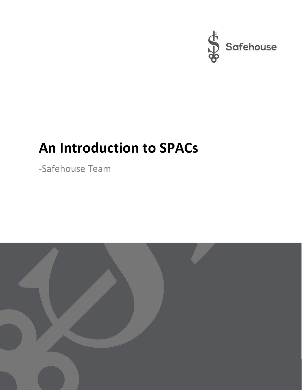

# **An Introduction to SPACs**

-Safehouse Team

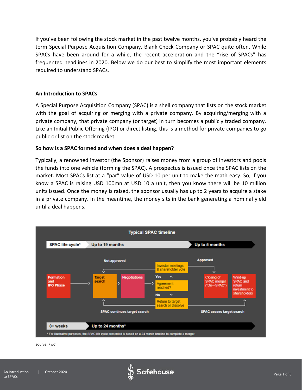If you've been following the stock market in the past twelve months, you've probably heard the term Special Purpose Acquisition Company, Blank Check Company or SPAC quite often. While SPACs have been around for a while, the recent acceleration and the "rise of SPACs" has frequented headlines in 2020. Below we do our best to simplify the most important elements required to understand SPACs.

## **An Introduction to SPACs**

A Special Purpose Acquisition Company (SPAC) is a shell company that lists on the stock market with the goal of acquiring or merging with a private company. By acquiring/merging with a private company, that private company (or target) in turn becomes a publicly traded company. Like an Initial Public Offering (IPO) or direct listing, this is a method for private companies to go public or list on the stock market.

## **So how is a SPAC formed and when does a deal happen?**

Typically, a renowned investor (the Sponsor) raises money from a group of investors and pools the funds into one vehicle (forming the SPAC). A prospectus is issued once the SPAC lists on the market. Most SPACs list at a "par" value of USD 10 per unit to make the math easy. So, if you know a SPAC is raising USD 100mn at USD 10 a unit, then you know there will be 10 million units issued. Once the money is raised, the sponsor usually has up to 2 years to acquire a stake in a private company. In the meantime, the money sits in the bank generating a nominal yield until a deal happens.



Source: PwC

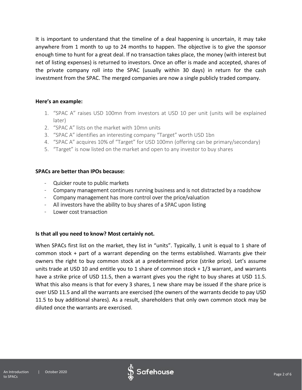It is important to understand that the timeline of a deal happening is uncertain, it may take anywhere from 1 month to up to 24 months to happen. The objective is to give the sponsor enough time to hunt for a great deal. If no transaction takes place, the money (with interest but net of listing expenses) is returned to investors. Once an offer is made and accepted, shares of the private company roll into the SPAC (usually within 30 days) in return for the cash investment from the SPAC. The merged companies are now a single publicly traded company.

## **Here's an example:**

- 1. "SPAC A" raises USD 100mn from investors at USD 10 per unit (units will be explained later)
- 2. "SPAC A" lists on the market with 10mn units
- 3. "SPAC A" identifies an interesting company "Target" worth USD 1bn
- 4. "SPAC A" acquires 10% of "Target" for USD 100mn (offering can be primary/secondary)
- 5. "Target" is now listed on the market and open to any investor to buy shares

## **SPACs are better than IPOs because:**

- Quicker route to public markets
- Company management continues running business and is not distracted by a roadshow
- Company management has more control over the price/valuation
- All investors have the ability to buy shares of a SPAC upon listing
- Lower cost transaction

## **Is that all you need to know? Most certainly not.**

When SPACs first list on the market, they list in "units". Typically, 1 unit is equal to 1 share of common stock + part of a warrant depending on the terms established. Warrants give their owners the right to buy common stock at a predetermined price (strike price). Let's assume units trade at USD 10 and entitle you to 1 share of common stock + 1/3 warrant, and warrants have a strike price of USD 11.5, then a warrant gives you the right to buy shares at USD 11.5. What this also means is that for every 3 shares, 1 new share may be issued if the share price is over USD 11.5 and all the warrants are exercised (the owners of the warrants decide to pay USD 11.5 to buy additional shares). As a result, shareholders that only own common stock may be diluted once the warrants are exercised.

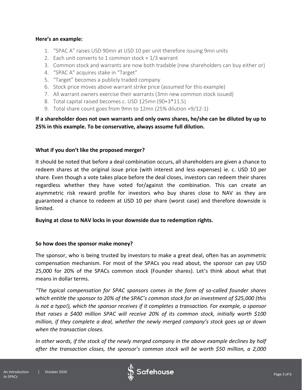## **Here's an example:**

- 1. "SPAC A" raises USD 90mn at USD 10 per unit therefore issuing 9mn units
- 2. Each unit converts to 1 common stock + 1/3 warrant
- 3. Common stock and warrants are now both tradable (new shareholders can buy either or)
- 4. "SPAC A" acquires stake in "Target"
- 5. "Target" becomes a publicly traded company
- 6. Stock price moves above warrant strike price (assumed for this example)
- 7. All warrant owners exercise their warrants (3mn new common stock issued)
- 8. Total capital raised becomes c. USD 125mn (90+3\*11.5)
- 9. Total share count goes from 9mn to 12mn (25% dilution =9/12-1)

## **If a shareholder does not own warrants and only owns shares, he/she can be diluted by up to 25% in this example. To be conservative, always assume full dilution.**

## **What if you don't like the proposed merger?**

It should be noted that before a deal combination occurs, all shareholders are given a chance to redeem shares at the original issue price (with interest and less expenses) ie. c. USD 10 per share. Even though a vote takes place before the deal closes, investors can redeem their shares regardless whether they have voted for/against the combination. This can create an asymmetric risk reward profile for investors who buy shares close to NAV as they are guaranteed a chance to redeem at USD 10 per share (worst case) and therefore downside is limited.

## **Buying at close to NAV locks in your downside due to redemption rights.**

## **So how does the sponsor make money?**

The sponsor, who is being trusted by investors to make a great deal, often has an asymmetric compensation mechanism. For most of the SPACs you read about, the sponsor can pay USD 25,000 for 20% of the SPACs common stock (Founder shares). Let's think about what that means in dollar terms.

*"The typical compensation for SPAC sponsors comes in the form of so-called founder shares which entitle the sponsor to 20% of the SPAC's common stock for an investment of \$25,000 (this is not a typo!), which the sponsor receives if it completes a transaction. For example, a sponsor that raises a \$400 million SPAC will receive 20% of its common stock, initially worth \$100 million, if they complete a deal, whether the newly merged company's stock goes up or down when the transaction closes.* 

*In other words, if the stock of the newly merged company in the above example declines by half after the transaction closes, the sponsor's common stock will be worth \$50 million, a 2,000* 

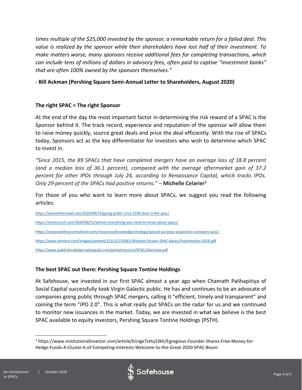*times multiple of the \$25,000 invested by the sponsor, a remarkable return for a failed deal. This value is realized by the sponsor while their shareholders have lost half of their investment. To make matters worse, many sponsors receive additional fees for completing transactions, which can include tens of millions of dollars in advisory fees, often paid to captive "investment banks" that are often 100% owned by the sponsors themselves."*

*-* **Bill Ackman (Pershing Square Semi-Annual Letter to Shareholders, August 2020)**

## **The right SPAC = The right Sponsor**

At the end of the day the most important factor in determining the risk reward of a SPAC is the Sponsor behind it. The track record, experience and reputation of the sponsor will allow them to raise money quickly, source great deals and price the deal efficiently. With the rise of SPACs today, Sponsors act as the key differentiator for investors who wish to determine which SPAC to invest in.

*"Since 2015, the 89 SPACs that have completed mergers have an average loss of 18.8 percent (and a median loss of 36.1 percent), compared with the average aftermarket gain of 37.2 percent for other IPOs through July 24, according to Renaissance Capital, which tracks IPOs. Only 29 percent of the SPACs had positive returns."* – **Michelle Celarier<sup>1</sup>**

For those of you who want to learn more about SPACs, we suggest you read the following articles:

<https://abovethecrowd.com/2020/08/23/going-public-circa-2020-door-3-the-spac/>

<https://techcrunch.com/2020/08/21/almost-everything-you-need-to-know-about-spacs/>

<https://corporatefinanceinstitute.com/resources/knowledge/strategy/special-purpose-acquisition-company-spac/>

<https://www.winston.com/images/content/1/3/v2/135061/Winston-Strawn-SPAC-Basics-Presentation-2018.pdf>

<https://www.publiclytradedprivateequity.com/portalresource/SPACsOverview.pdf>

## **The best SPAC out there: Pershing Square Tontine Holdings**

At Safehouse, we invested in our first SPAC almost a year ago when Chamath Palihapitiya of Social Capital successfully took Virgin Galactic public. He has and continues to be an advocate of companies going public through SPAC mergers, calling it "efficient, timely and transparent" and coining the term "IPO 2.0". This is what really put SPACs on the radar for us and we continued to monitor new issuances in the market. Today, we are invested in what we believe is the best SPAC available to equity investors, Pershing Square Tontine Holdings (PSTH).



<sup>1</sup> https://www.institutionalinvestor.com/article/b1ngx7vttq33kh/Egregious-Founder-Shares-Free-Money-for-Hedge-Funds-A-Cluster-k-of-Competing-Interests-Welcome-to-the-Great-2020-SPAC-Boom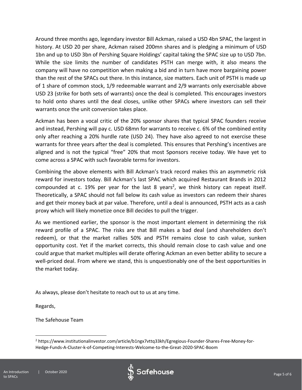Around three months ago, legendary investor Bill Ackman, raised a USD 4bn SPAC, the largest in history. At USD 20 per share, Ackman raised 200mn shares and is pledging a minimum of USD 1bn and up to USD 3bn of Pershing Square Holdings' capital taking the SPAC size up to USD 7bn. While the size limits the number of candidates PSTH can merge with, it also means the company will have no competition when making a bid and in turn have more bargaining power than the rest of the SPACs out there. In this instance, size matters. Each unit of PSTH is made up of 1 share of common stock, 1/9 redeemable warrant and 2/9 warrants only exercisable above USD 23 (strike for both sets of warrants) once the deal is completed. This encourages investors to hold onto shares until the deal closes, unlike other SPACs where investors can sell their warrants once the unit conversion takes place.

Ackman has been a vocal critic of the 20% sponsor shares that typical SPAC founders receive and instead, Pershing will pay c. USD 68mn for warrants to receive c. 6% of the combined entity only after reaching a 20% hurdle rate (USD 24). They have also agreed to not exercise these warrants for three years after the deal is completed. This ensures that Pershing's incentives are aligned and is not the typical "free" 20% that most Sponsors receive today. We have yet to come across a SPAC with such favorable terms for investors.

Combining the above elements with Bill Ackman's track record makes this an asymmetric risk reward for investors today. Bill Ackman's last SPAC which acquired Restaurant Brands in 2012 compounded at  $c$ . 19% per year for the last 8 years<sup>2</sup>, we think history can repeat itself. Theoretically, a SPAC should not fall below its cash value as investors can redeem their shares and get their money back at par value. Therefore, until a deal is announced, PSTH acts as a cash proxy which will likely monetize once Bill decides to pull the trigger.

As we mentioned earlier, the sponsor is the most important element in determining the risk reward profile of a SPAC. The risks are that Bill makes a bad deal (and shareholders don't redeem), or that the market rallies 50% and PSTH remains close to cash value, sunken opportunity cost. Yet if the market corrects, this should remain close to cash value and one could argue that market multiples will derate offering Ackman an even better ability to secure a well-priced deal. From where we stand, this is unquestionably one of the best opportunities in the market today.

As always, please don't hesitate to reach out to us at any time.

Regards,

The Safehouse Team





<sup>2</sup> https://www.institutionalinvestor.com/article/b1ngx7vttq33kh/Egregious-Founder-Shares-Free-Money-for-Hedge-Funds-A-Cluster-k-of-Competing-Interests-Welcome-to-the-Great-2020-SPAC-Boom